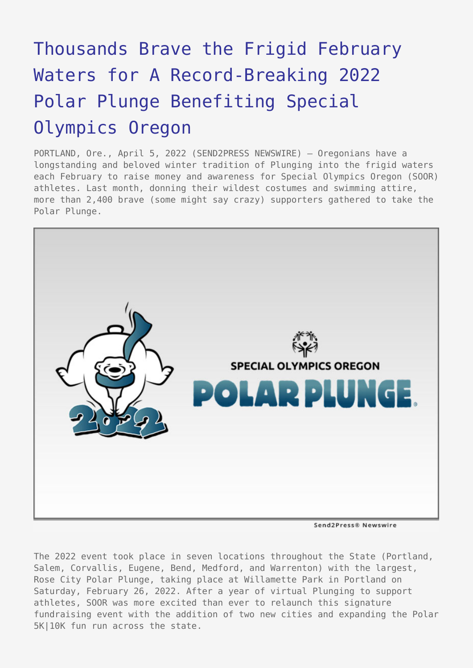## [Thousands Brave the Frigid February](https://www.send2press.com/wire/thousands-brave-the-frigid-february-waters-for-a-record-breaking-2022-polar-plunge-benefiting-special-olympics-oregon/) [Waters for A Record-Breaking 2022](https://www.send2press.com/wire/thousands-brave-the-frigid-february-waters-for-a-record-breaking-2022-polar-plunge-benefiting-special-olympics-oregon/) [Polar Plunge Benefiting Special](https://www.send2press.com/wire/thousands-brave-the-frigid-february-waters-for-a-record-breaking-2022-polar-plunge-benefiting-special-olympics-oregon/) [Olympics Oregon](https://www.send2press.com/wire/thousands-brave-the-frigid-february-waters-for-a-record-breaking-2022-polar-plunge-benefiting-special-olympics-oregon/)

PORTLAND, Ore., April 5, 2022 (SEND2PRESS NEWSWIRE) — Oregonians have a longstanding and beloved winter tradition of Plunging into the frigid waters each February to raise money and awareness for Special Olympics Oregon (SOOR) athletes. Last month, donning their wildest costumes and swimming attire, more than 2,400 brave (some might say crazy) supporters gathered to take the Polar Plunge.



Send2Press® Newswire

The 2022 event took place in seven locations throughout the State (Portland, Salem, Corvallis, Eugene, Bend, Medford, and Warrenton) with the largest, Rose City Polar Plunge, taking place at Willamette Park in Portland on Saturday, February 26, 2022. After a year of virtual Plunging to support athletes, SOOR was more excited than ever to relaunch this signature fundraising event with the addition of two new cities and expanding the Polar 5K|10K fun run across the state.